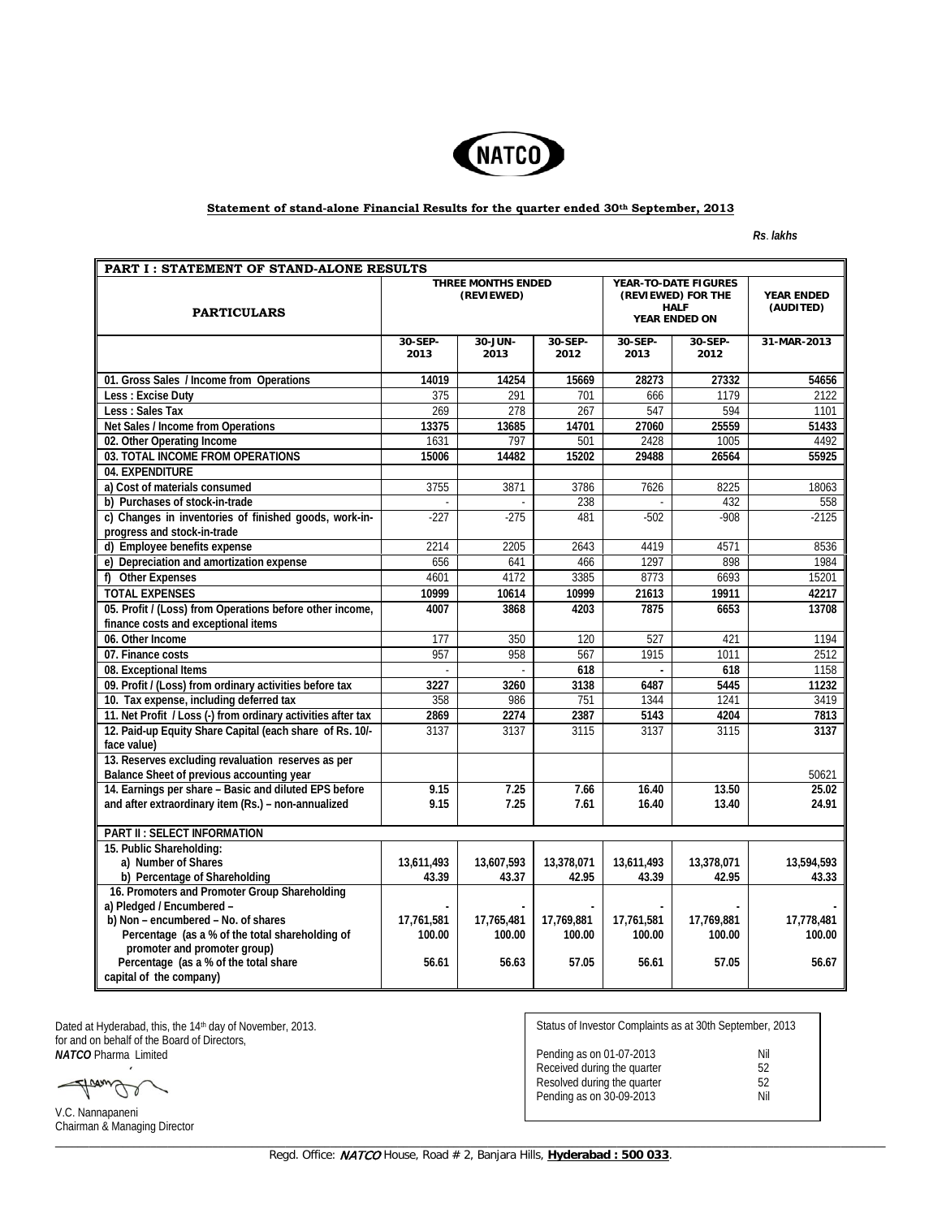

## **Statement of stand-alone Financial Results for the quarter ended 30th September, 2013**

*Rs*. *lakhs*

| PART I: STATEMENT OF STAND-ALONE RESULTS                                                                     |                                  |                 |                 |                                                                            |                 |                                |  |
|--------------------------------------------------------------------------------------------------------------|----------------------------------|-----------------|-----------------|----------------------------------------------------------------------------|-----------------|--------------------------------|--|
| <b>PARTICULARS</b>                                                                                           | THREE MONTHS ENDED<br>(REVIEWED) |                 |                 | YEAR-TO-DATE FIGURES<br>(REVIEWED) FOR THE<br><b>HALF</b><br>YEAR ENDED ON |                 | <b>YEAR ENDED</b><br>(AUDITED) |  |
|                                                                                                              | 30-SEP-<br>2013                  | 30-JUN-<br>2013 | 30-SEP-<br>2012 | 30-SEP-<br>2013                                                            | 30-SEP-<br>2012 | 31-MAR-2013                    |  |
| 01. Gross Sales / Income from Operations                                                                     | 14019                            | 14254           | 15669           | 28273                                                                      | 27332           | 54656                          |  |
| Less: Excise Duty                                                                                            | 375                              | 291             | 701             | 666                                                                        | 1179            | 2122                           |  |
| Less : Sales Tax                                                                                             | 269                              | 278             | 267             | 547                                                                        | 594             | 1101                           |  |
| Net Sales / Income from Operations                                                                           | 13375                            | 13685           | 14701           | 27060                                                                      | 25559           | 51433                          |  |
| 02. Other Operating Income                                                                                   | 1631                             | 797             | 501             | 2428                                                                       | 1005            | 4492                           |  |
| 03. TOTAL INCOME FROM OPERATIONS                                                                             | 15006                            | 14482           | 15202           | 29488                                                                      | 26564           | 55925                          |  |
| 04. EXPENDITURE                                                                                              |                                  |                 |                 |                                                                            |                 |                                |  |
| a) Cost of materials consumed                                                                                | 3755                             | 3871            | 3786            | 7626                                                                       | 8225            | 18063                          |  |
| b) Purchases of stock-in-trade                                                                               |                                  |                 | 238             |                                                                            | 432             | 558                            |  |
| c) Changes in inventories of finished goods, work-in-<br>progress and stock-in-trade                         | $-227$                           | $-275$          | 481             | $-502$                                                                     | $-908$          | $-2125$                        |  |
| d) Employee benefits expense                                                                                 | 2214                             | 2205            | 2643            | 4419                                                                       | 4571            | 8536                           |  |
| e) Depreciation and amortization expense                                                                     | 656                              | 641             | 466             | 1297                                                                       | 898             | 1984                           |  |
| f) Other Expenses                                                                                            | 4601                             | 4172            | 3385            | 8773                                                                       | 6693            | 15201                          |  |
| <b>TOTAL EXPENSES</b>                                                                                        | 10999                            | 10614           | 10999           | 21613                                                                      | 19911           | 42217                          |  |
| 05. Profit / (Loss) from Operations before other income,<br>finance costs and exceptional items              | 4007                             | 3868            | 4203            | 7875                                                                       | 6653            | 13708                          |  |
| 06. Other Income                                                                                             | 177                              | 350             | 120             | 527                                                                        | 421             | 1194                           |  |
| 07. Finance costs                                                                                            | 957                              | 958             | 567             | 1915                                                                       | 1011            | 2512                           |  |
| 08. Exceptional Items                                                                                        |                                  | $\sim$          | 618             | $\sim$                                                                     | 618             | 1158                           |  |
| 09. Profit / (Loss) from ordinary activities before tax                                                      | 3227                             | 3260            | 3138            | 6487                                                                       | 5445            | 11232                          |  |
| 10. Tax expense, including deferred tax                                                                      | 358                              | 986             | 751             | 1344                                                                       | 1241            | 3419                           |  |
| 11. Net Profit / Loss (-) from ordinary activities after tax                                                 | 2869                             | 2274            | 2387            | 5143                                                                       | 4204            | 7813                           |  |
| 12. Paid-up Equity Share Capital (each share of Rs. 10/-<br>face value)                                      | 3137                             | 3137            | 3115            | 3137                                                                       | 3115            | 3137                           |  |
| 13. Reserves excluding revaluation reserves as per<br>Balance Sheet of previous accounting year              |                                  |                 |                 |                                                                            |                 | 50621                          |  |
| 14. Earnings per share - Basic and diluted EPS before<br>and after extraordinary item (Rs.) - non-annualized | 9.15<br>9.15                     | 7.25<br>7.25    | 7.66<br>7.61    | 16.40<br>16.40                                                             | 13.50<br>13.40  | 25.02<br>24.91                 |  |
| <b>PART II: SELECT INFORMATION</b>                                                                           |                                  |                 |                 |                                                                            |                 |                                |  |
| 15. Public Shareholding:                                                                                     |                                  |                 |                 |                                                                            |                 |                                |  |
| a) Number of Shares                                                                                          | 13.611.493                       | 13,607,593      | 13.378.071      | 13,611,493                                                                 | 13,378,071      | 13,594,593                     |  |
| b) Percentage of Shareholding                                                                                | 43.39                            | 43.37           | 42.95           | 43.39                                                                      | 42.95           | 43.33                          |  |
| 16. Promoters and Promoter Group Shareholding<br>a) Pledged / Encumbered -                                   |                                  |                 |                 |                                                                            |                 |                                |  |
| b) Non - encumbered - No. of shares                                                                          | 17,761,581                       | 17,765,481      | 17,769,881      | 17,761,581                                                                 | 17,769,881      | 17,778,481                     |  |
| Percentage (as a % of the total shareholding of<br>promoter and promoter group)                              | 100.00                           | 100.00          | 100.00          | 100.00                                                                     | 100.00          | 100.00                         |  |
| Percentage (as a % of the total share<br>capital of the company)                                             | 56.61                            | 56.63           | 57.05           | 56.61                                                                      | 57.05           | 56.67                          |  |

Dated at Hyderabad, this, the 14<sup>th</sup> day of November, 2013. for and on behalf of the Board of Directors, *NATCO* Pharma Limited

Status of Investor Complaints as at 30th September, 2013 Pending as on 01-07-2013 Nil Received during the quarter **52** Resolved during the quarter **52** Pending as on 30-09-2013 Nil

frama V.C. Nannapaneni Chairman & Managing Director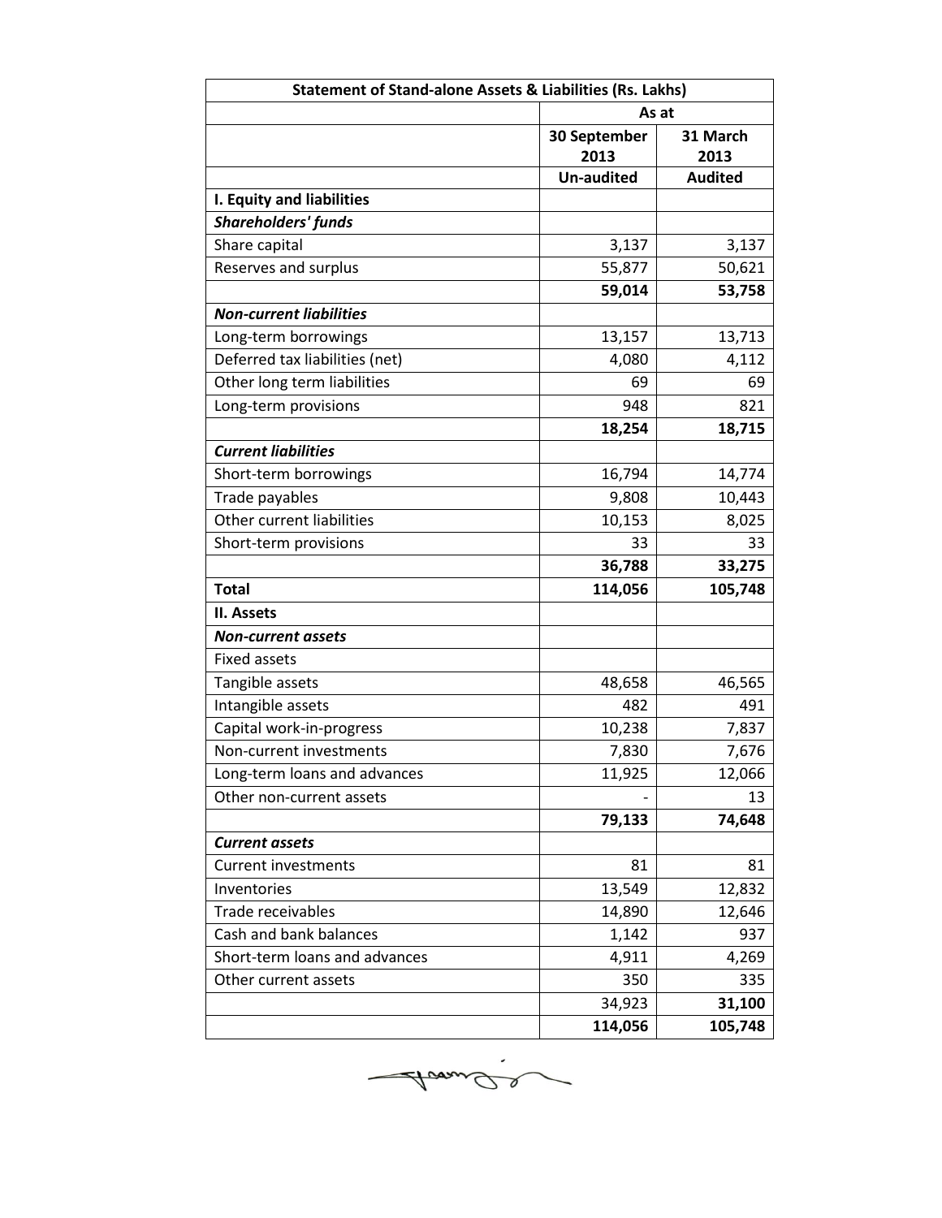| <b>Statement of Stand-alone Assets &amp; Liabilities (Rs. Lakhs)</b> |                      |                  |  |  |
|----------------------------------------------------------------------|----------------------|------------------|--|--|
|                                                                      | As at                |                  |  |  |
|                                                                      | 30 September<br>2013 | 31 March<br>2013 |  |  |
|                                                                      | <b>Un-audited</b>    | <b>Audited</b>   |  |  |
| I. Equity and liabilities                                            |                      |                  |  |  |
| <b>Shareholders' funds</b>                                           |                      |                  |  |  |
| Share capital                                                        | 3,137                | 3,137            |  |  |
| Reserves and surplus                                                 | 55,877               | 50,621           |  |  |
|                                                                      | 59,014               | 53,758           |  |  |
| <b>Non-current liabilities</b>                                       |                      |                  |  |  |
| Long-term borrowings                                                 | 13,157               | 13,713           |  |  |
| Deferred tax liabilities (net)                                       | 4,080                | 4,112            |  |  |
| Other long term liabilities                                          | 69                   | 69               |  |  |
| Long-term provisions                                                 | 948                  | 821              |  |  |
|                                                                      | 18,254               | 18,715           |  |  |
| <b>Current liabilities</b>                                           |                      |                  |  |  |
| Short-term borrowings                                                | 16,794               | 14,774           |  |  |
| Trade payables                                                       | 9,808                | 10,443           |  |  |
| Other current liabilities                                            | 10,153               | 8,025            |  |  |
| Short-term provisions                                                | 33                   | 33               |  |  |
|                                                                      | 36,788               | 33,275           |  |  |
| <b>Total</b>                                                         | 114,056              | 105,748          |  |  |
| II. Assets                                                           |                      |                  |  |  |
| <b>Non-current assets</b>                                            |                      |                  |  |  |
| <b>Fixed assets</b>                                                  |                      |                  |  |  |
| Tangible assets                                                      | 48,658               | 46,565           |  |  |
| Intangible assets                                                    | 482                  | 491              |  |  |
| Capital work-in-progress                                             | 10,238               | 7,837            |  |  |
| Non-current investments                                              | 7,830                | 7,676            |  |  |
| Long-term loans and advances                                         | 11,925               | 12,066           |  |  |
| Other non-current assets                                             |                      | 13               |  |  |
|                                                                      | 79,133               | 74,648           |  |  |
| <b>Current assets</b>                                                |                      |                  |  |  |
| Current investments                                                  | 81                   | 81               |  |  |
| Inventories                                                          | 13,549               | 12,832           |  |  |
| Trade receivables                                                    | 14,890               | 12,646           |  |  |
| Cash and bank balances                                               | 1,142                | 937              |  |  |
| Short-term loans and advances                                        | 4,911                | 4,269            |  |  |
| Other current assets                                                 | 350                  | 335              |  |  |
|                                                                      | 34,923               | 31,100           |  |  |
|                                                                      | 114,056              | 105,748          |  |  |

Avande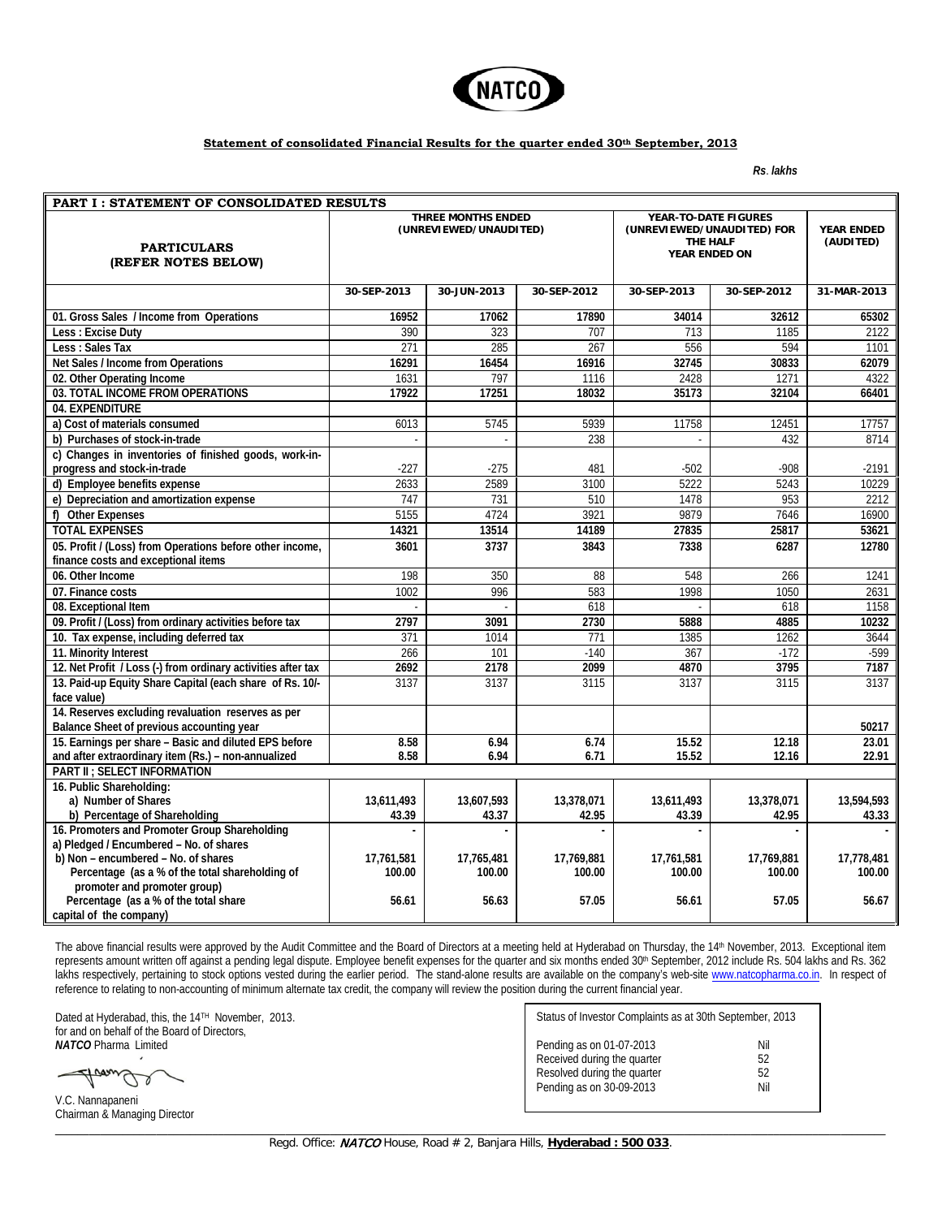

## **Statement of consolidated Financial Results for the quarter ended 30th September, 2013**

*Rs*. *lakhs*

| <b>THREE MONTHS ENDED</b><br>YEAR-TO-DATE FIGURES<br>(UNREVIEWED/UNAUDITED)<br>(UNREVIEWED/UNAUDITED) FOR<br><b>YEAR ENDED</b><br>THE HALF<br>(AUDITED)<br><b>PARTICULARS</b><br>YEAR ENDED ON<br>(REFER NOTES BELOW)<br>30-SEP-2013<br>30-JUN-2013<br>30-SEP-2012<br>30-SEP-2013<br>30-SEP-2012<br>31-MAR-2013<br>01. Gross Sales / Income from Operations<br>17062<br>16952<br>17890<br>34014<br>32612<br>65302<br>Less: Excise Duty<br>390<br>707<br>1185<br>323<br>713<br>2122<br>$\overline{271}$<br>285<br>$\overline{267}$<br>556<br>594<br>Less : Sales Tax<br>1101<br>Net Sales / Income from Operations<br>16291<br>16454<br>16916<br>32745<br>30833<br>62079<br>797<br>02. Other Operating Income<br>1631<br>1116<br>2428<br>1271<br>4322<br>03. TOTAL INCOME FROM OPERATIONS<br>17251<br>35173<br>17922<br>18032<br>32104<br>66401<br>04. EXPENDITURE<br>5939<br>11758<br>6013<br>5745<br>12451<br>17757<br>a) Cost of materials consumed<br>b) Purchases of stock-in-trade<br>238<br>432<br>8714<br>c) Changes in inventories of finished goods, work-in-<br>$-908$<br>progress and stock-in-trade<br>$-227$<br>$-275$<br>481<br>$-502$<br>$-2191$<br>2633<br>2589<br>3100<br>5222<br>5243<br>10229<br>d) Employee benefits expense<br>e) Depreciation and amortization expense<br>747<br>731<br>1478<br>953<br>2212<br>510<br>f) Other Expenses<br>5155<br>4724<br>3921<br>9879<br>7646<br>16900<br><b>TOTAL EXPENSES</b><br>13514<br>14321<br>14189<br>27835<br>25817<br>53621<br>05. Profit / (Loss) from Operations before other income,<br>3601<br>3737<br>3843<br>7338<br>6287<br>12780<br>finance costs and exceptional items<br>06. Other Income<br>198<br>88<br>548<br>1241<br>350<br>266<br>1002<br>996<br>583<br>1998<br>1050<br>07. Finance costs<br>2631<br>1158<br>08. Exceptional Item<br>618<br>618<br>$\sim$<br>÷.<br>09. Profit / (Loss) from ordinary activities before tax<br>2797<br>3091<br>2730<br>5888<br>4885<br>10232<br>10. Tax expense, including deferred tax<br>371<br>1014<br>771<br>1385<br>1262<br>3644<br>11. Minority Interest<br>266<br>101<br>$-140$<br>367<br>$-172$<br>$-599$<br>3795<br>12. Net Profit / Loss (-) from ordinary activities after tax<br>2692<br>2178<br>2099<br>4870<br>7187<br>13. Paid-up Equity Share Capital (each share of Rs. 10/-<br>3137<br>3137<br>3115<br>3137<br>3115<br>3137<br>face value)<br>14. Reserves excluding revaluation reserves as per |
|------------------------------------------------------------------------------------------------------------------------------------------------------------------------------------------------------------------------------------------------------------------------------------------------------------------------------------------------------------------------------------------------------------------------------------------------------------------------------------------------------------------------------------------------------------------------------------------------------------------------------------------------------------------------------------------------------------------------------------------------------------------------------------------------------------------------------------------------------------------------------------------------------------------------------------------------------------------------------------------------------------------------------------------------------------------------------------------------------------------------------------------------------------------------------------------------------------------------------------------------------------------------------------------------------------------------------------------------------------------------------------------------------------------------------------------------------------------------------------------------------------------------------------------------------------------------------------------------------------------------------------------------------------------------------------------------------------------------------------------------------------------------------------------------------------------------------------------------------------------------------------------------------------------------------------------------------------------------------------------------------------------------------------------------------------------------------------------------------------------------------------------------------------------------------------------------------------------------------------------------------------------------------------------------------------------------------------------------------------------------------------------------------------------------------------|
|                                                                                                                                                                                                                                                                                                                                                                                                                                                                                                                                                                                                                                                                                                                                                                                                                                                                                                                                                                                                                                                                                                                                                                                                                                                                                                                                                                                                                                                                                                                                                                                                                                                                                                                                                                                                                                                                                                                                                                                                                                                                                                                                                                                                                                                                                                                                                                                                                                    |
|                                                                                                                                                                                                                                                                                                                                                                                                                                                                                                                                                                                                                                                                                                                                                                                                                                                                                                                                                                                                                                                                                                                                                                                                                                                                                                                                                                                                                                                                                                                                                                                                                                                                                                                                                                                                                                                                                                                                                                                                                                                                                                                                                                                                                                                                                                                                                                                                                                    |
|                                                                                                                                                                                                                                                                                                                                                                                                                                                                                                                                                                                                                                                                                                                                                                                                                                                                                                                                                                                                                                                                                                                                                                                                                                                                                                                                                                                                                                                                                                                                                                                                                                                                                                                                                                                                                                                                                                                                                                                                                                                                                                                                                                                                                                                                                                                                                                                                                                    |
|                                                                                                                                                                                                                                                                                                                                                                                                                                                                                                                                                                                                                                                                                                                                                                                                                                                                                                                                                                                                                                                                                                                                                                                                                                                                                                                                                                                                                                                                                                                                                                                                                                                                                                                                                                                                                                                                                                                                                                                                                                                                                                                                                                                                                                                                                                                                                                                                                                    |
|                                                                                                                                                                                                                                                                                                                                                                                                                                                                                                                                                                                                                                                                                                                                                                                                                                                                                                                                                                                                                                                                                                                                                                                                                                                                                                                                                                                                                                                                                                                                                                                                                                                                                                                                                                                                                                                                                                                                                                                                                                                                                                                                                                                                                                                                                                                                                                                                                                    |
|                                                                                                                                                                                                                                                                                                                                                                                                                                                                                                                                                                                                                                                                                                                                                                                                                                                                                                                                                                                                                                                                                                                                                                                                                                                                                                                                                                                                                                                                                                                                                                                                                                                                                                                                                                                                                                                                                                                                                                                                                                                                                                                                                                                                                                                                                                                                                                                                                                    |
|                                                                                                                                                                                                                                                                                                                                                                                                                                                                                                                                                                                                                                                                                                                                                                                                                                                                                                                                                                                                                                                                                                                                                                                                                                                                                                                                                                                                                                                                                                                                                                                                                                                                                                                                                                                                                                                                                                                                                                                                                                                                                                                                                                                                                                                                                                                                                                                                                                    |
|                                                                                                                                                                                                                                                                                                                                                                                                                                                                                                                                                                                                                                                                                                                                                                                                                                                                                                                                                                                                                                                                                                                                                                                                                                                                                                                                                                                                                                                                                                                                                                                                                                                                                                                                                                                                                                                                                                                                                                                                                                                                                                                                                                                                                                                                                                                                                                                                                                    |
|                                                                                                                                                                                                                                                                                                                                                                                                                                                                                                                                                                                                                                                                                                                                                                                                                                                                                                                                                                                                                                                                                                                                                                                                                                                                                                                                                                                                                                                                                                                                                                                                                                                                                                                                                                                                                                                                                                                                                                                                                                                                                                                                                                                                                                                                                                                                                                                                                                    |
|                                                                                                                                                                                                                                                                                                                                                                                                                                                                                                                                                                                                                                                                                                                                                                                                                                                                                                                                                                                                                                                                                                                                                                                                                                                                                                                                                                                                                                                                                                                                                                                                                                                                                                                                                                                                                                                                                                                                                                                                                                                                                                                                                                                                                                                                                                                                                                                                                                    |
|                                                                                                                                                                                                                                                                                                                                                                                                                                                                                                                                                                                                                                                                                                                                                                                                                                                                                                                                                                                                                                                                                                                                                                                                                                                                                                                                                                                                                                                                                                                                                                                                                                                                                                                                                                                                                                                                                                                                                                                                                                                                                                                                                                                                                                                                                                                                                                                                                                    |
|                                                                                                                                                                                                                                                                                                                                                                                                                                                                                                                                                                                                                                                                                                                                                                                                                                                                                                                                                                                                                                                                                                                                                                                                                                                                                                                                                                                                                                                                                                                                                                                                                                                                                                                                                                                                                                                                                                                                                                                                                                                                                                                                                                                                                                                                                                                                                                                                                                    |
|                                                                                                                                                                                                                                                                                                                                                                                                                                                                                                                                                                                                                                                                                                                                                                                                                                                                                                                                                                                                                                                                                                                                                                                                                                                                                                                                                                                                                                                                                                                                                                                                                                                                                                                                                                                                                                                                                                                                                                                                                                                                                                                                                                                                                                                                                                                                                                                                                                    |
|                                                                                                                                                                                                                                                                                                                                                                                                                                                                                                                                                                                                                                                                                                                                                                                                                                                                                                                                                                                                                                                                                                                                                                                                                                                                                                                                                                                                                                                                                                                                                                                                                                                                                                                                                                                                                                                                                                                                                                                                                                                                                                                                                                                                                                                                                                                                                                                                                                    |
|                                                                                                                                                                                                                                                                                                                                                                                                                                                                                                                                                                                                                                                                                                                                                                                                                                                                                                                                                                                                                                                                                                                                                                                                                                                                                                                                                                                                                                                                                                                                                                                                                                                                                                                                                                                                                                                                                                                                                                                                                                                                                                                                                                                                                                                                                                                                                                                                                                    |
|                                                                                                                                                                                                                                                                                                                                                                                                                                                                                                                                                                                                                                                                                                                                                                                                                                                                                                                                                                                                                                                                                                                                                                                                                                                                                                                                                                                                                                                                                                                                                                                                                                                                                                                                                                                                                                                                                                                                                                                                                                                                                                                                                                                                                                                                                                                                                                                                                                    |
|                                                                                                                                                                                                                                                                                                                                                                                                                                                                                                                                                                                                                                                                                                                                                                                                                                                                                                                                                                                                                                                                                                                                                                                                                                                                                                                                                                                                                                                                                                                                                                                                                                                                                                                                                                                                                                                                                                                                                                                                                                                                                                                                                                                                                                                                                                                                                                                                                                    |
|                                                                                                                                                                                                                                                                                                                                                                                                                                                                                                                                                                                                                                                                                                                                                                                                                                                                                                                                                                                                                                                                                                                                                                                                                                                                                                                                                                                                                                                                                                                                                                                                                                                                                                                                                                                                                                                                                                                                                                                                                                                                                                                                                                                                                                                                                                                                                                                                                                    |
|                                                                                                                                                                                                                                                                                                                                                                                                                                                                                                                                                                                                                                                                                                                                                                                                                                                                                                                                                                                                                                                                                                                                                                                                                                                                                                                                                                                                                                                                                                                                                                                                                                                                                                                                                                                                                                                                                                                                                                                                                                                                                                                                                                                                                                                                                                                                                                                                                                    |
|                                                                                                                                                                                                                                                                                                                                                                                                                                                                                                                                                                                                                                                                                                                                                                                                                                                                                                                                                                                                                                                                                                                                                                                                                                                                                                                                                                                                                                                                                                                                                                                                                                                                                                                                                                                                                                                                                                                                                                                                                                                                                                                                                                                                                                                                                                                                                                                                                                    |
|                                                                                                                                                                                                                                                                                                                                                                                                                                                                                                                                                                                                                                                                                                                                                                                                                                                                                                                                                                                                                                                                                                                                                                                                                                                                                                                                                                                                                                                                                                                                                                                                                                                                                                                                                                                                                                                                                                                                                                                                                                                                                                                                                                                                                                                                                                                                                                                                                                    |
|                                                                                                                                                                                                                                                                                                                                                                                                                                                                                                                                                                                                                                                                                                                                                                                                                                                                                                                                                                                                                                                                                                                                                                                                                                                                                                                                                                                                                                                                                                                                                                                                                                                                                                                                                                                                                                                                                                                                                                                                                                                                                                                                                                                                                                                                                                                                                                                                                                    |
|                                                                                                                                                                                                                                                                                                                                                                                                                                                                                                                                                                                                                                                                                                                                                                                                                                                                                                                                                                                                                                                                                                                                                                                                                                                                                                                                                                                                                                                                                                                                                                                                                                                                                                                                                                                                                                                                                                                                                                                                                                                                                                                                                                                                                                                                                                                                                                                                                                    |
|                                                                                                                                                                                                                                                                                                                                                                                                                                                                                                                                                                                                                                                                                                                                                                                                                                                                                                                                                                                                                                                                                                                                                                                                                                                                                                                                                                                                                                                                                                                                                                                                                                                                                                                                                                                                                                                                                                                                                                                                                                                                                                                                                                                                                                                                                                                                                                                                                                    |
|                                                                                                                                                                                                                                                                                                                                                                                                                                                                                                                                                                                                                                                                                                                                                                                                                                                                                                                                                                                                                                                                                                                                                                                                                                                                                                                                                                                                                                                                                                                                                                                                                                                                                                                                                                                                                                                                                                                                                                                                                                                                                                                                                                                                                                                                                                                                                                                                                                    |
| Balance Sheet of previous accounting year<br>50217                                                                                                                                                                                                                                                                                                                                                                                                                                                                                                                                                                                                                                                                                                                                                                                                                                                                                                                                                                                                                                                                                                                                                                                                                                                                                                                                                                                                                                                                                                                                                                                                                                                                                                                                                                                                                                                                                                                                                                                                                                                                                                                                                                                                                                                                                                                                                                                 |
| 15. Earnings per share - Basic and diluted EPS before<br>8.58<br>6.94<br>6.74<br>15.52<br>12.18<br>23.01                                                                                                                                                                                                                                                                                                                                                                                                                                                                                                                                                                                                                                                                                                                                                                                                                                                                                                                                                                                                                                                                                                                                                                                                                                                                                                                                                                                                                                                                                                                                                                                                                                                                                                                                                                                                                                                                                                                                                                                                                                                                                                                                                                                                                                                                                                                           |
| and after extraordinary item (Rs.) - non-annualized<br>8.58<br>6.94<br>22.91<br>6.71<br>15.52<br>12.16                                                                                                                                                                                                                                                                                                                                                                                                                                                                                                                                                                                                                                                                                                                                                                                                                                                                                                                                                                                                                                                                                                                                                                                                                                                                                                                                                                                                                                                                                                                                                                                                                                                                                                                                                                                                                                                                                                                                                                                                                                                                                                                                                                                                                                                                                                                             |
| <b>PART II: SELECT INFORMATION</b>                                                                                                                                                                                                                                                                                                                                                                                                                                                                                                                                                                                                                                                                                                                                                                                                                                                                                                                                                                                                                                                                                                                                                                                                                                                                                                                                                                                                                                                                                                                                                                                                                                                                                                                                                                                                                                                                                                                                                                                                                                                                                                                                                                                                                                                                                                                                                                                                 |
| 16. Public Shareholding:                                                                                                                                                                                                                                                                                                                                                                                                                                                                                                                                                                                                                                                                                                                                                                                                                                                                                                                                                                                                                                                                                                                                                                                                                                                                                                                                                                                                                                                                                                                                                                                                                                                                                                                                                                                                                                                                                                                                                                                                                                                                                                                                                                                                                                                                                                                                                                                                           |
| a) Number of Shares<br>13,607,593<br>13,611,493<br>13,594,593<br>13,611,493<br>13,378,071<br>13,378,071                                                                                                                                                                                                                                                                                                                                                                                                                                                                                                                                                                                                                                                                                                                                                                                                                                                                                                                                                                                                                                                                                                                                                                                                                                                                                                                                                                                                                                                                                                                                                                                                                                                                                                                                                                                                                                                                                                                                                                                                                                                                                                                                                                                                                                                                                                                            |
| b) Percentage of Shareholding<br>43.39<br>42.95<br>43.39<br>42.95<br>43.33<br>43.37                                                                                                                                                                                                                                                                                                                                                                                                                                                                                                                                                                                                                                                                                                                                                                                                                                                                                                                                                                                                                                                                                                                                                                                                                                                                                                                                                                                                                                                                                                                                                                                                                                                                                                                                                                                                                                                                                                                                                                                                                                                                                                                                                                                                                                                                                                                                                |
| 16. Promoters and Promoter Group Shareholding<br>$\overline{a}$                                                                                                                                                                                                                                                                                                                                                                                                                                                                                                                                                                                                                                                                                                                                                                                                                                                                                                                                                                                                                                                                                                                                                                                                                                                                                                                                                                                                                                                                                                                                                                                                                                                                                                                                                                                                                                                                                                                                                                                                                                                                                                                                                                                                                                                                                                                                                                    |
| a) Pledged / Encumbered - No. of shares<br>b) Non - encumbered - No. of shares<br>17,761,581<br>17,769,881<br>17,778,481<br>17,765,481<br>17,769,881<br>17,761,581                                                                                                                                                                                                                                                                                                                                                                                                                                                                                                                                                                                                                                                                                                                                                                                                                                                                                                                                                                                                                                                                                                                                                                                                                                                                                                                                                                                                                                                                                                                                                                                                                                                                                                                                                                                                                                                                                                                                                                                                                                                                                                                                                                                                                                                                 |
| Percentage (as a % of the total shareholding of<br>100.00<br>100.00<br>100.00<br>100.00<br>100.00<br>100.00                                                                                                                                                                                                                                                                                                                                                                                                                                                                                                                                                                                                                                                                                                                                                                                                                                                                                                                                                                                                                                                                                                                                                                                                                                                                                                                                                                                                                                                                                                                                                                                                                                                                                                                                                                                                                                                                                                                                                                                                                                                                                                                                                                                                                                                                                                                        |
| promoter and promoter group)                                                                                                                                                                                                                                                                                                                                                                                                                                                                                                                                                                                                                                                                                                                                                                                                                                                                                                                                                                                                                                                                                                                                                                                                                                                                                                                                                                                                                                                                                                                                                                                                                                                                                                                                                                                                                                                                                                                                                                                                                                                                                                                                                                                                                                                                                                                                                                                                       |
| Percentage (as a % of the total share<br>57.05<br>56.61<br>56.63<br>57.05<br>56.61<br>56.67<br>capital of the company)                                                                                                                                                                                                                                                                                                                                                                                                                                                                                                                                                                                                                                                                                                                                                                                                                                                                                                                                                                                                                                                                                                                                                                                                                                                                                                                                                                                                                                                                                                                                                                                                                                                                                                                                                                                                                                                                                                                                                                                                                                                                                                                                                                                                                                                                                                             |

The above financial results were approved by the Audit Committee and the Board of Directors at a meeting held at Hyderabad on Thursday, the 14<sup>th</sup> November, 2013. Exceptional item represents amount written off against a pending legal dispute. Employee benefit expenses for the quarter and six months ended 30<sup>th</sup> September, 2012 include Rs. 504 lakhs and Rs. 362 lakhs respectively, pertaining to stock options vested during the earlier period. The stand-alone results are available on the company's web-site [www.natcopharma.co.in.](http://www.natcopharma.co.in/) In respect of reference to relating to non-accounting of minimum alternate tax credit, the company will review the position during the current financial year.

Dated at Hyderabad, this, the 14<sup>TH</sup> November, 2013. for and on behalf of the Board of Directors, *NATCO* Pharma Limited

 $\cup$  0

V.C. Nannapaneni Chairman & Managing Director

Status of Investor Complaints as at 30th September, 2013 Pending as on 01-07-2013 Nil Received during the quarter 62<br>Resolved during the quarter 62 Resolved during the quarter 52<br>Pending as on 30-09-2013 Nil Pending as on 30-09-2013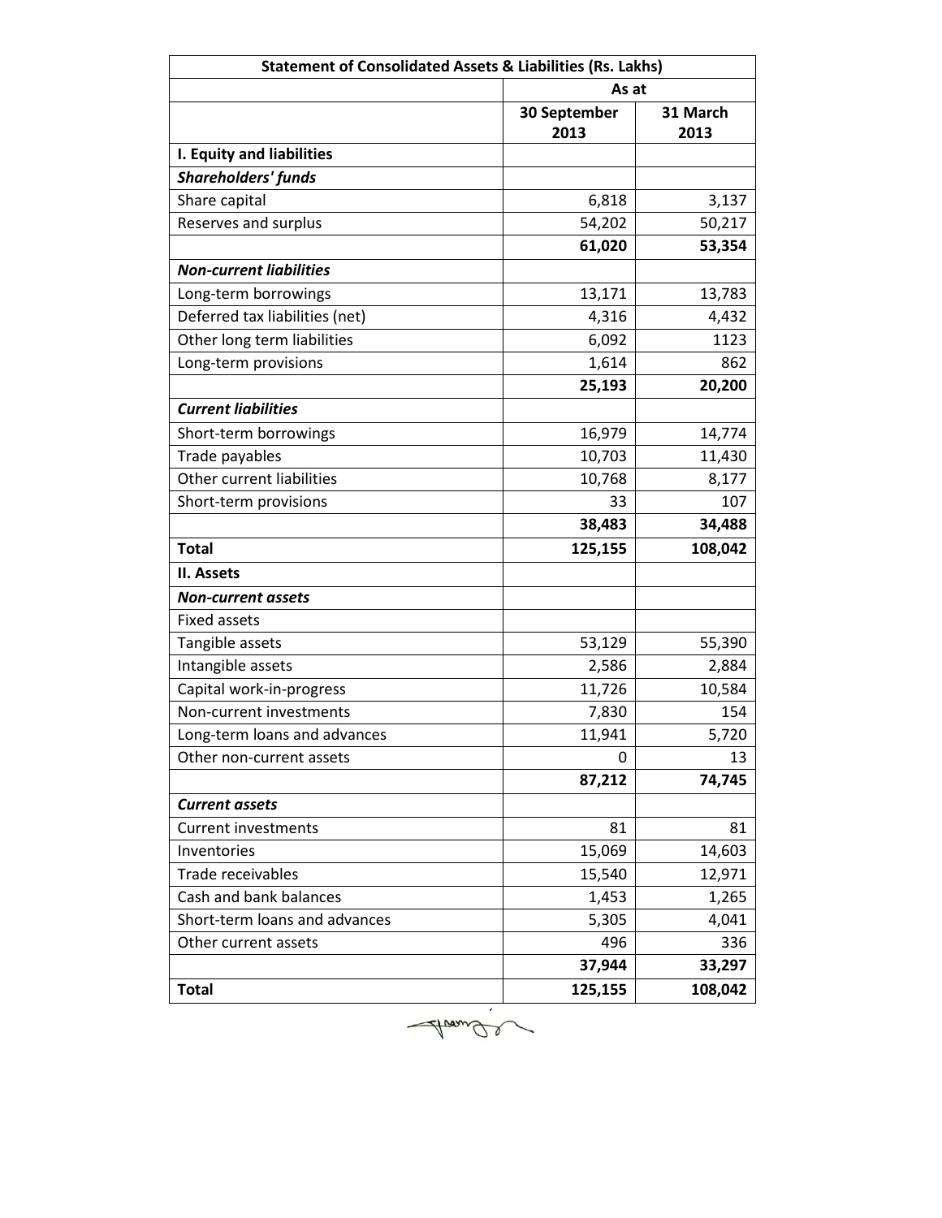| <b>Statement of Consolidated Assets &amp; Liabilities (Rs. Lakhs)</b> |                      |                  |  |  |  |
|-----------------------------------------------------------------------|----------------------|------------------|--|--|--|
|                                                                       |                      | As at            |  |  |  |
|                                                                       | 30 September<br>2013 | 31 March<br>2013 |  |  |  |
| I. Equity and liabilities                                             |                      |                  |  |  |  |
| <b>Shareholders' funds</b>                                            |                      |                  |  |  |  |
| Share capital                                                         | 6,818                | 3,137            |  |  |  |
| Reserves and surplus                                                  | 54,202               | 50,217           |  |  |  |
|                                                                       | 61,020               | 53,354           |  |  |  |
| <b>Non-current liabilities</b>                                        |                      |                  |  |  |  |
| Long-term borrowings                                                  | 13,171               | 13,783           |  |  |  |
| Deferred tax liabilities (net)                                        | 4,316                | 4,432            |  |  |  |
| Other long term liabilities                                           | 6,092                | 1123             |  |  |  |
| Long-term provisions                                                  | 1,614                | 862              |  |  |  |
|                                                                       | 25,193               | 20,200           |  |  |  |
| <b>Current liabilities</b>                                            |                      |                  |  |  |  |
| Short-term borrowings                                                 | 16,979               | 14,774           |  |  |  |
| Trade payables                                                        | 10,703               | 11,430           |  |  |  |
| Other current liabilities                                             | 10,768               | 8,177            |  |  |  |
| Short-term provisions                                                 | 33                   | 107              |  |  |  |
|                                                                       | 38,483               | 34,488           |  |  |  |
| <b>Total</b>                                                          | 125,155              | 108,042          |  |  |  |
| II. Assets                                                            |                      |                  |  |  |  |
| <b>Non-current assets</b>                                             |                      |                  |  |  |  |
| <b>Fixed assets</b>                                                   |                      |                  |  |  |  |
| Tangible assets                                                       | 53,129               | 55,390           |  |  |  |
| Intangible assets                                                     | 2,586                | 2,884            |  |  |  |
| Capital work-in-progress                                              | 11,726               | 10,584           |  |  |  |
| Non-current investments                                               | 7,830                | 154              |  |  |  |
| Long-term loans and advances                                          | 11,941               | 5,720            |  |  |  |
| Other non-current assets                                              | 0                    | 13               |  |  |  |
|                                                                       | 87,212               | 74,745           |  |  |  |
| <b>Current assets</b>                                                 |                      |                  |  |  |  |
| <b>Current investments</b>                                            | 81                   | 81               |  |  |  |
| Inventories                                                           | 15,069               | 14,603           |  |  |  |
| Trade receivables                                                     | 15,540               | 12,971           |  |  |  |
| Cash and bank balances                                                | 1,453                | 1,265            |  |  |  |
| Short-term loans and advances                                         | 5,305                | 4,041            |  |  |  |
| Other current assets                                                  | 496                  | 336              |  |  |  |
|                                                                       | 37,944               | 33,297           |  |  |  |
| <b>Total</b>                                                          | 125,155              | 108,042          |  |  |  |